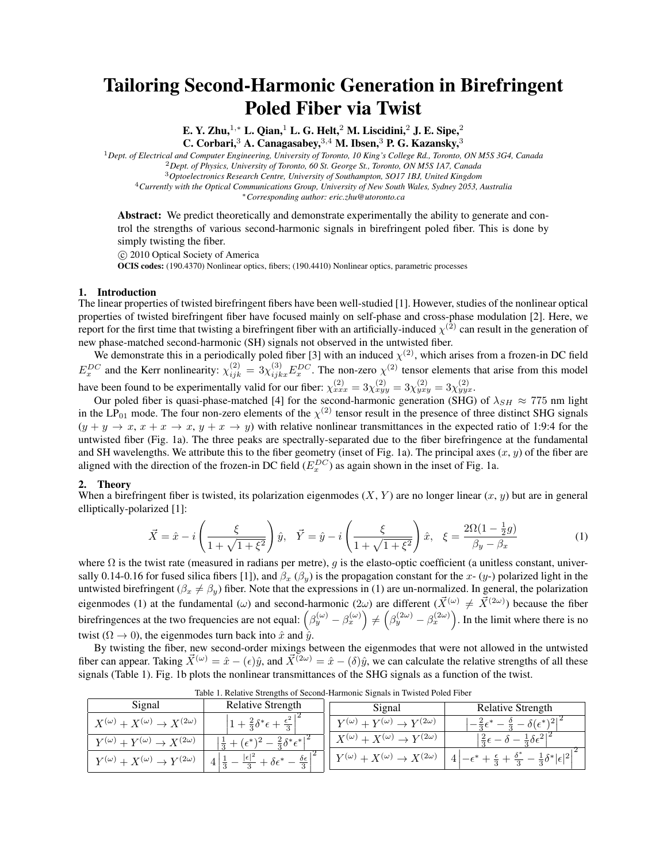# Tailoring Second-Harmonic Generation in Birefringent Poled Fiber via Twist

E. Y. Zhu,<sup>1,∗</sup> L. Qian,<sup>1</sup> L. G. Helt,<sup>2</sup> M. Liscidini,<sup>2</sup> J. E. Sipe,<sup>2</sup> C. Corbari,<sup>3</sup> A. Canagasabey,<sup>3,4</sup> M. Ibsen,<sup>3</sup> P. G. Kazansky,<sup>3</sup>

<sup>1</sup>*Dept. of Electrical and Computer Engineering, University of Toronto, 10 King's College Rd., Toronto, ON M5S 3G4, Canada* <sup>2</sup>*Dept. of Physics, University of Toronto, 60 St. George St., Toronto, ON M5S 1A7, Canada* <sup>3</sup>*Optoelectronics Research Centre, University of Southampton, SO17 1BJ, United Kingdom*

<sup>4</sup>*Currently with the Optical Communications Group, University of New South Wales, Sydney 2053, Australia*

*∗Corresponding author: eric.zhu@utoronto.ca*

Abstract: We predict theoretically and demonstrate experimentally the ability to generate and control the strengths of various second-harmonic signals in birefringent poled fiber. This is done by simply twisting the fiber.

*⃝*c 2010 Optical Society of America OCIS codes: (190.4370) Nonlinear optics, fibers; (190.4410) Nonlinear optics, parametric processes

## 1. Introduction

The linear properties of twisted birefringent fibers have been well-studied [1]. However, studies of the nonlinear optical properties of twisted birefringent fiber have focused mainly on self-phase and cross-phase modulation [2]. Here, we report for the first time that twisting a birefringent fiber with an artificially-induced  $\chi^{(2)}$  can result in the generation of new phase-matched second-harmonic (SH) signals not observed in the untwisted fiber.

We demonstrate this in a periodically poled fiber [3] with an induced  $\chi^{(2)}$ , which arises from a frozen-in DC field  $E_x^{DC}$  and the Kerr nonlinearity:  $\chi_{ijk}^{(2)} = 3\chi_{ijkx}^{(3)}E_x^{DC}$ . The non-zero  $\chi^{(2)}$  tensor elements that arise from this model have been found to be experimentally valid for our fiber:  $\chi_{xxx}^{(2)} = 3\chi_{xyy}^{(2)} = 3\chi_{yxy}^{(2)} = 3\chi_{yyx}^{(2)}$ .

Our poled fiber is quasi-phase-matched [4] for the second-harmonic generation (SHG) of  $\lambda_{SH} \approx 775$  nm light in the  $LP_{01}$  mode. The four non-zero elements of the  $\chi^{(2)}$  tensor result in the presence of three distinct SHG signals  $(y + y \rightarrow x, x + x \rightarrow x, y + x \rightarrow y)$  with relative nonlinear transmittances in the expected ratio of 1:9:4 for the untwisted fiber (Fig. 1a). The three peaks are spectrally-separated due to the fiber birefringence at the fundamental and SH wavelengths. We attribute this to the fiber geometry (inset of Fig. 1a). The principal axes  $(x, y)$  of the fiber are aligned with the direction of the frozen-in DC field  $(E_x^{DC})$  as again shown in the inset of Fig. 1a.

### 2. Theory

When a birefringent fiber is twisted, its polarization eigenmodes  $(X, Y)$  are no longer linear  $(x, y)$  but are in general elliptically-polarized [1]:

$$
\vec{X} = \hat{x} - i \left( \frac{\xi}{1 + \sqrt{1 + \xi^2}} \right) \hat{y}, \quad \vec{Y} = \hat{y} - i \left( \frac{\xi}{1 + \sqrt{1 + \xi^2}} \right) \hat{x}, \quad \xi = \frac{2\Omega(1 - \frac{1}{2}g)}{\beta_y - \beta_x}
$$
(1)

where  $\Omega$  is the twist rate (measured in radians per metre), *g* is the elasto-optic coefficient (a unitless constant, universally 0.14-0.16 for fused silica fibers [1]), and  $\beta_x$  ( $\beta_y$ ) is the propagation constant for the *x*- (*y*-) polarized light in the untwisted birefringent ( $\beta_x \neq \beta_y$ ) fiber. Note that the expressions in (1) are un-normalized. In general, the polarization eigenmodes (1) at the fundamental ( $\omega$ ) and second-harmonic ( $2\omega$ ) are different ( $\vec{X}^{(\omega)} \neq \vec{X}^{(2\omega)}$ ) because the fiber birefringences at the two frequencies are not equal:  $(\beta_y^{(\omega)} - \beta_x^{(\omega)}) \neq (\beta_y^{(2\omega)} - \beta_x^{(2\omega)})$ . In the limit where there is no twist ( $\Omega \to 0$ ), the eigenmodes turn back into  $\hat{x}$  and  $\hat{y}$ .

By twisting the fiber, new second-order mixings between the eigenmodes that were not allowed in the untwisted fiber can appear. Taking  $\vec{X}^{(\omega)} = \hat{x} - (\epsilon)\hat{y}$ , and  $\vec{X}^{(\alpha)} = \hat{x} - (\delta)\hat{y}$ , we can calculate the relative strengths of all these signals (Table 1). Fig. 1b plots the nonlinear transmittances of the SHG signals as a function of the twist.

| Signal                                                  | <b>Relative Strength</b>                                    | Signal                                                  | <b>Relative Strength</b>         |
|---------------------------------------------------------|-------------------------------------------------------------|---------------------------------------------------------|----------------------------------|
| $X^{(\omega)} + X^{(\omega)} \rightarrow X^{(2\omega)}$ | $+ \frac{2}{2} \delta^* \epsilon$                           | $Y^{(\omega)} + Y^{(\omega)} \rightarrow Y^{(2\omega)}$ | $\delta(\epsilon^*)^2$           |
| $Y^{(\omega)} + Y^{(\omega)} \rightarrow X^{(2\omega)}$ | $-\frac{2}{2}\delta^* \epsilon^{*+2}$                       | $X^{(\omega)} + X^{(\omega)} \rightarrow Y^{(2\omega)}$ | $\frac{1}{2}\partial \epsilon^2$ |
| $Y^{(\omega)} + X^{(\omega)} \rightarrow Y^{(2\omega)}$ | $\delta \epsilon$<br>- $\delta\epsilon^*$<br>$\overline{2}$ | $Y^{(\omega)} + X^{(\omega)} \rightarrow X^{(2\omega)}$ |                                  |

Table 1. Relative Strengths of Second-Harmonic Signals in Twisted Poled Fiber